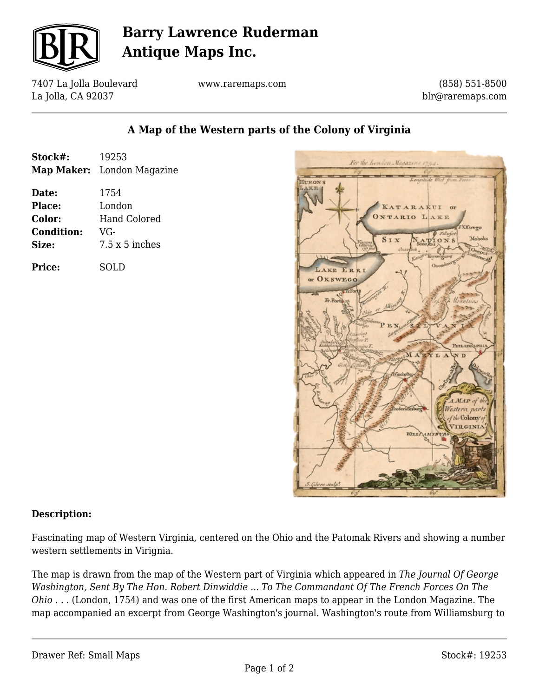

# **Barry Lawrence Ruderman Antique Maps Inc.**

7407 La Jolla Boulevard La Jolla, CA 92037

www.raremaps.com

(858) 551-8500 blr@raremaps.com

### **A Map of the Western parts of the Colony of Virginia**

| Stock#:           | 19253                             |
|-------------------|-----------------------------------|
|                   | <b>Map Maker:</b> London Magazine |
| Date:             | 1754                              |
| Place:            | London                            |
| Color:            | Hand Colored                      |
| <b>Condition:</b> | VG-                               |
| Size:             | $7.5 \times 5$ inches             |
| <b>Price:</b>     | SOLD                              |



#### **Description:**

Fascinating map of Western Virginia, centered on the Ohio and the Patomak Rivers and showing a number western settlements in Virignia.

The map is drawn from the map of the Western part of Virginia which appeared in *The Journal Of George Washington, Sent By The Hon. Robert Dinwiddie ... To The Commandant Of The French Forces On The Ohio . . .* (London, 1754) and was one of the first American maps to appear in the London Magazine. The map accompanied an excerpt from George Washington's journal. Washington's route from Williamsburg to